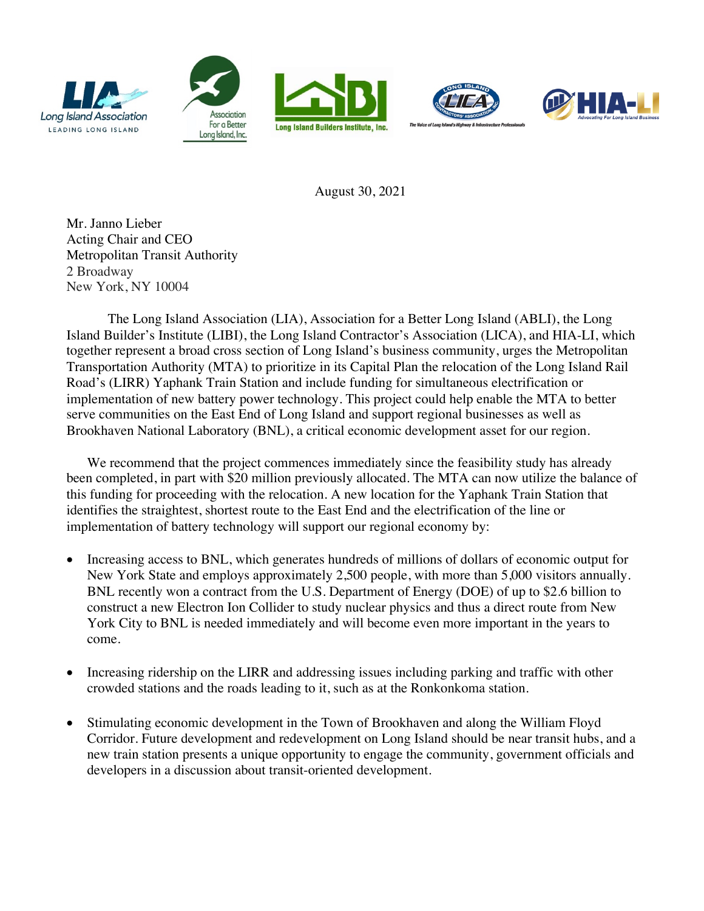









August 30, 2021

Mr. Janno Lieber Acting Chair and CEO Metropolitan Transit Authority 2 Broadway New York, NY 10004

The Long Island Association (LIA), Association for a Better Long Island (ABLI), the Long Island Builder's Institute (LIBI), the Long Island Contractor's Association (LICA), and HIA-LI, which together represent a broad cross section of Long Island's business community, urges the Metropolitan Transportation Authority (MTA) to prioritize in its Capital Plan the relocation of the Long Island Rail Road's (LIRR) Yaphank Train Station and include funding for simultaneous electrification or implementation of new battery power technology. This project could help enable the MTA to better serve communities on the East End of Long Island and support regional businesses as well as Brookhaven National Laboratory (BNL), a critical economic development asset for our region.

We recommend that the project commences immediately since the feasibility study has already been completed, in part with \$20 million previously allocated. The MTA can now utilize the balance of this funding for proceeding with the relocation. A new location for the Yaphank Train Station that identifies the straightest, shortest route to the East End and the electrification of the line or implementation of battery technology will support our regional economy by:

- Increasing access to BNL, which generates hundreds of millions of dollars of economic output for New York State and employs approximately 2,500 people, with more than 5,000 visitors annually. BNL recently won a contract from the U.S. Department of Energy (DOE) of up to \$2.6 billion to construct a new Electron Ion Collider to study nuclear physics and thus a direct route from New York City to BNL is needed immediately and will become even more important in the years to come.
- Increasing ridership on the LIRR and addressing issues including parking and traffic with other crowded stations and the roads leading to it, such as at the Ronkonkoma station.
- Stimulating economic development in the Town of Brookhaven and along the William Floyd Corridor. Future development and redevelopment on Long Island should be near transit hubs, and a new train station presents a unique opportunity to engage the community, government officials and developers in a discussion about transit-oriented development.